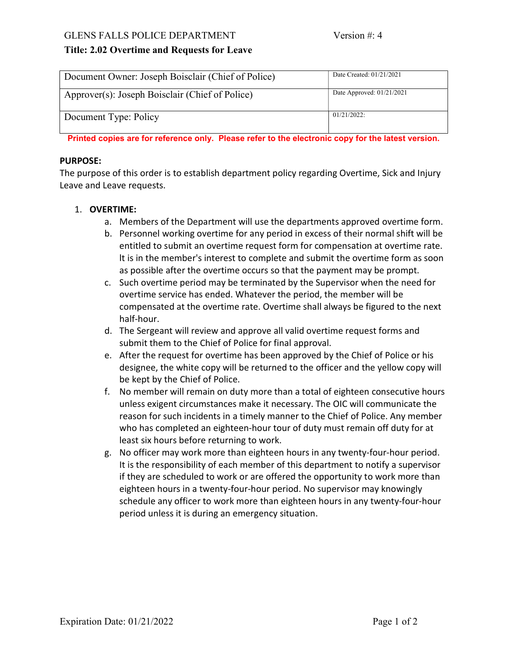## GLENS FALLS POLICE DEPARTMENT Version #: 4

# Title: 2.02 Overtime and Requests for Leave

| Document Owner: Joseph Boisclair (Chief of Police) | Date Created: 01/21/2021    |
|----------------------------------------------------|-----------------------------|
| Approver(s): Joseph Boisclair (Chief of Police)    | Date Approved: $01/21/2021$ |
| Document Type: Policy                              | 01/21/2022:                 |

Printed copies are for reference only. Please refer to the electronic copy for the latest version.

#### PURPOSE:

The purpose of this order is to establish department policy regarding Overtime, Sick and Injury Leave and Leave requests.

# 1. OVERTIME:

- a. Members of the Department will use the departments approved overtime form.
- b. Personnel working overtime for any period in excess of their normal shift will be entitled to submit an overtime request form for compensation at overtime rate. lt is in the member's interest to complete and submit the overtime form as soon as possible after the overtime occurs so that the payment may be prompt.
- c. Such overtime period may be terminated by the Supervisor when the need for overtime service has ended. Whatever the period, the member will be compensated at the overtime rate. Overtime shall always be figured to the next half-hour.
- d. The Sergeant will review and approve all valid overtime request forms and submit them to the Chief of Police for final approval.
- e. After the request for overtime has been approved by the Chief of Police or his designee, the white copy will be returned to the officer and the yellow copy will be kept by the Chief of Police.
- f. No member will remain on duty more than a total of eighteen consecutive hours unless exigent circumstances make it necessary. The OIC will communicate the reason for such incidents in a timely manner to the Chief of Police. Any member who has completed an eighteen-hour tour of duty must remain off duty for at least six hours before returning to work.
- g. No officer may work more than eighteen hours in any twenty-four-hour period. It is the responsibility of each member of this department to notify a supervisor if they are scheduled to work or are offered the opportunity to work more than eighteen hours in a twenty-four-hour period. No supervisor may knowingly schedule any officer to work more than eighteen hours in any twenty-four-hour period unless it is during an emergency situation.